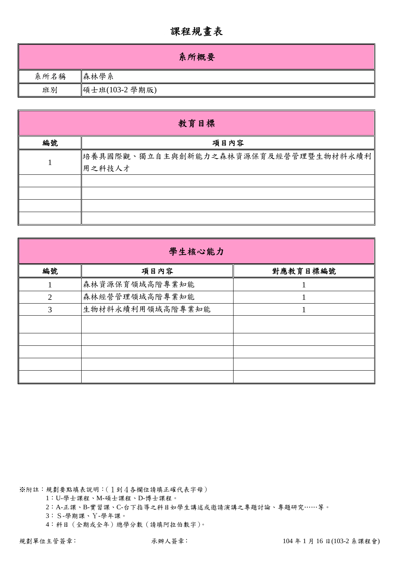## 課程規畫表

|      | 系所概要           |
|------|----------------|
| 系所名稱 | 森林學系           |
| 班別   | 碩士班(103-2 學期版) |

|    | 教育目標                                           |
|----|------------------------------------------------|
| 編號 | 項目內容                                           |
|    | 培養具國際觀、獨立自主與創新能力之森林資源保育及經營管理暨生物材料永續利<br>用之科技人才 |
|    |                                                |
|    |                                                |

| 學生核心能力 |                  |          |  |  |  |  |  |  |
|--------|------------------|----------|--|--|--|--|--|--|
| 編號     | 項目內容             | 對應教育目標編號 |  |  |  |  |  |  |
|        | 森林資源保育領域高階專業知能   |          |  |  |  |  |  |  |
| 2      | 森林經營管理領域高階專業知能   |          |  |  |  |  |  |  |
| 3      | 生物材料永續利用領域高階專業知能 |          |  |  |  |  |  |  |
|        |                  |          |  |  |  |  |  |  |
|        |                  |          |  |  |  |  |  |  |
|        |                  |          |  |  |  |  |  |  |
|        |                  |          |  |  |  |  |  |  |
|        |                  |          |  |  |  |  |  |  |

※附註:規劃要點填表說明:(1到4各欄位請填正確代表字母)

1:U-學士課程、M-碩士課程、D-博士課程。

2:A-正課、B-實習課、C-台下指導之科目如學生講述或邀請演講之專題討論、專題研究……等。

3:S-學期課、Y-學年課。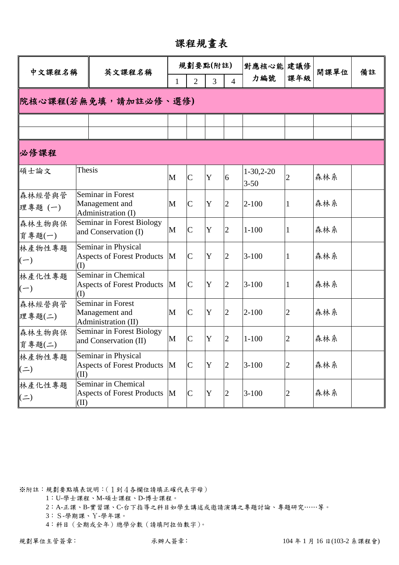課程規畫表

| 中文課程名稱              |        | 英文課程名稱                                                     |   |                | 規劃要點(附註)            |                | 對應核心能 建議修               |                | 開課單位 | 備註 |  |
|---------------------|--------|------------------------------------------------------------|---|----------------|---------------------|----------------|-------------------------|----------------|------|----|--|
|                     |        |                                                            | 1 | $\overline{2}$ | 3<br>$\overline{4}$ |                | 力編號                     | 課年級            |      |    |  |
|                     |        | 院核心課程(若無免填,請加註必修、選修)                                       |   |                |                     |                |                         |                |      |    |  |
|                     |        |                                                            |   |                |                     |                |                         |                |      |    |  |
|                     |        |                                                            |   |                |                     |                |                         |                |      |    |  |
| 必修課程                |        |                                                            |   |                |                     |                |                         |                |      |    |  |
| 碩士論文                | Thesis |                                                            | M | $\overline{C}$ | Y                   | 6              | $1-30,2-20$<br>$3 - 50$ | 2              | 森林系  |    |  |
| 森林經營與管<br>理專題(一)    |        | Seminar in Forest<br>Management and<br>Administration (I)  | M | $\mathbf C$    | Y                   | $\overline{2}$ | $2 - 100$               | 1              | 森林系  |    |  |
| 森林生物與保<br>育專題(一)    |        | Seminar in Forest Biology<br>and Conservation (I)          | M | $\overline{C}$ | Y                   | $\overline{2}$ | $1 - 100$               | 1              | 森林系  |    |  |
| 林產物性專題<br>$(-)$     | (I)    | Seminar in Physical<br><b>Aspects of Forest Products</b>   | M | $\mathsf{C}$   | Y                   | $\overline{2}$ | $3 - 100$               | 1              | 森林系  |    |  |
| 林產化性專題<br>$(-)$     | (I)    | Seminar in Chemical<br><b>Aspects of Forest Products</b>   | M | $\mathsf{C}$   | Y                   | $\overline{2}$ | $3 - 100$               | 1              | 森林系  |    |  |
| 森林經營與管<br>理專題(二)    |        | Seminar in Forest<br>Management and<br>Administration (II) | M | $\mathbf C$    | Y                   | $\overline{2}$ | $2 - 100$               | $\overline{2}$ | 森林系  |    |  |
| 森林生物與保<br>育專題(二)    |        | <b>Seminar in Forest Biology</b><br>and Conservation (II)  | M | $\mathsf{C}$   | Y                   | $\overline{2}$ | $1 - 100$               | 2              | 森林系  |    |  |
| 林產物性專題<br>$($ = $)$ | (II)   | Seminar in Physical<br><b>Aspects of Forest Products</b>   | M | $\mathsf{C}$   | Y                   | $\overline{2}$ | $3 - 100$               | 2              | 森林系  |    |  |
| 林產化性專題<br>$($ = $)$ | (II)   | Seminar in Chemical<br><b>Aspects of Forest Products</b>   | M | $\mathbf C$    | Y                   | $\overline{2}$ | $3 - 100$               | 2              | 森林系  |    |  |

1:U-學士課程、M-碩士課程、D-博士課程。

2:A-正課、B-實習課、C-台下指導之科目如學生講述或邀請演講之專題討論、專題研究……等。

3:S-學期課、Y-學年課。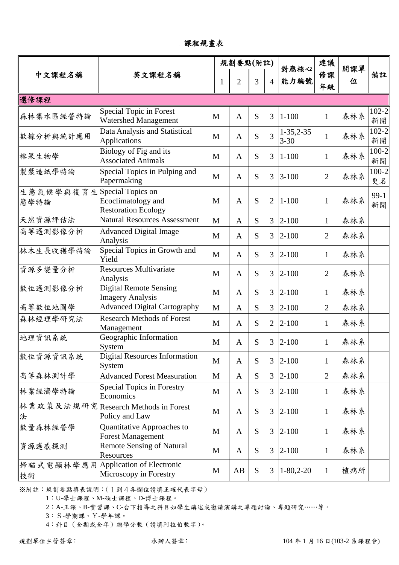課程規畫表

|                   | 英文課程名稱                                                                |   | 規劃要點(附註)       |           |                |                         | 建議             |          | 備註              |
|-------------------|-----------------------------------------------------------------------|---|----------------|-----------|----------------|-------------------------|----------------|----------|-----------------|
| 中文課程名稱            |                                                                       |   | $\overline{2}$ | 3         | $\overline{4}$ | 對應核心<br>能力編號            | 修課<br>年級       | 開課單<br>位 |                 |
| 選修課程              |                                                                       |   |                |           |                |                         |                |          |                 |
| 森林集水區經營特論         | Special Topic in Forest<br><b>Watershed Management</b>                | M | $\mathbf{A}$   | S         | 3              | $1 - 100$               | $\mathbf{1}$   | 森林系      | $102 - 2$<br>新開 |
| 數據分析與統計應用         | Data Analysis and Statistical<br><b>Applications</b>                  | M | $\mathbf{A}$   | S         | 3              | $1-35,2-35$<br>$3 - 30$ | $\mathbf{1}$   | 森林系      | $102 - 2$<br>新開 |
| 榕果生物學             | Biology of Fig and its<br><b>Associated Animals</b>                   | M | $\mathbf{A}$   | S         | 3              | $1 - 100$               | $\mathbf{1}$   | 森林系      | $100 - 2$<br>新開 |
| 製漿造紙學特論           | Special Topics in Pulping and<br>Papermaking                          | M | $\mathbf{A}$   | S         | 3              | $3 - 100$               | $\overline{2}$ | 森林系      | $100 - 2$<br>更名 |
| 生態氣候學與復育生<br>態學特論 | Special Topics on<br>Ecoclimatology and<br><b>Restoration Ecology</b> | M | $\mathbf{A}$   | S         | $\overline{2}$ | $1 - 100$               | $\mathbf{1}$   | 森林系      | $99-1$<br>新開    |
| 天然資源評估法           | <b>Natural Resources Assessment</b>                                   | M | $\mathbf{A}$   | S         | 3              | $2 - 100$               | $\mathbf{1}$   | 森林系      |                 |
| 高等遙測影像分析          | <b>Advanced Digital Image</b><br>Analysis                             | M | $\mathbf{A}$   | S         | 3              | $2 - 100$               | $\overline{2}$ | 森林系      |                 |
| 林木生長收穫學特論         | Special Topics in Growth and<br>Yield                                 | M | $\mathbf{A}$   | S         | 3              | $2 - 100$               | $\mathbf{1}$   | 森林系      |                 |
| 資源多變量分析           | <b>Resources Multivariate</b><br>Analysis                             | M | $\mathbf{A}$   | S         | 3              | $2 - 100$               | $\overline{2}$ | 森林系      |                 |
| 數位遙測影像分析          | <b>Digital Remote Sensing</b><br><b>Imagery Analysis</b>              | M | $\mathbf{A}$   | S         | 3              | $2 - 100$               | $\mathbf{1}$   | 森林系      |                 |
| 高等數位地圖學           | <b>Advanced Digital Cartography</b>                                   | M | $\mathbf{A}$   | S         | 3              | $2 - 100$               | $\overline{2}$ | 森林系      |                 |
| 森林經理學研究法          | <b>Research Methods of Forest</b><br>Management                       | M | $\mathbf{A}$   | S         | 2              | $2 - 100$               | $\mathbf{1}$   | 森林系      |                 |
| 地理資訊系統            | Geographic Information<br>System                                      | M | $\mathbf{A}$   | S         | 3              | $2 - 100$               | $\mathbf{1}$   | 森林系      |                 |
| 數位資源資訊系統          | <b>Digital Resources Information</b><br>System                        | M | $\mathbf{A}$   | S         | 3              | $2 - 100$               | $\mathbf{1}$   | 森林系      |                 |
| 高等森林測計學           | <b>Advanced Forest Measuration</b>                                    | M | $\mathbf{A}$   | S         | $\overline{3}$ | $2 - 100$               | $\overline{2}$ | 森林系      |                 |
| 林業經濟學特論           | <b>Special Topics in Forestry</b><br>Economics                        | M | $\mathbf{A}$   | S         | 3              | $2 - 100$               | $\mathbf{1}$   | 森林系      |                 |
| 法                 | 林業政策及法規研究  Research Methods in Forest<br>Policy and Law               | M | $\mathbf{A}$   | S         | 3              | $2 - 100$               | $\mathbf{1}$   | 森林系      |                 |
| 數量森林經營學           | Quantitative Approaches to<br><b>Forest Management</b>                | M | $\mathbf{A}$   | S         | 3              | $2 - 100$               | $\mathbf{1}$   | 森林系      |                 |
| 資源遙感探測            | <b>Remote Sensing of Natural</b><br>Resources                         | M | A              | S         | 3              | $2 - 100$               | $\mathbf{1}$   | 森林系      |                 |
| 掃瞄式電顯林學應用<br>技術   | Application of Electronic<br>Microscopy in Forestry                   | M | AB             | ${\bf S}$ | 3              | $1 - 80, 2 - 20$        | $\mathbf{1}$   | 植病所      |                 |

1:U-學士課程、M-碩士課程、D-博士課程。

2:A-正課、B-實習課、C-台下指導之科目如學生講述或邀請演講之專題討論、專題研究……等。

3:S-學期課、Y-學年課。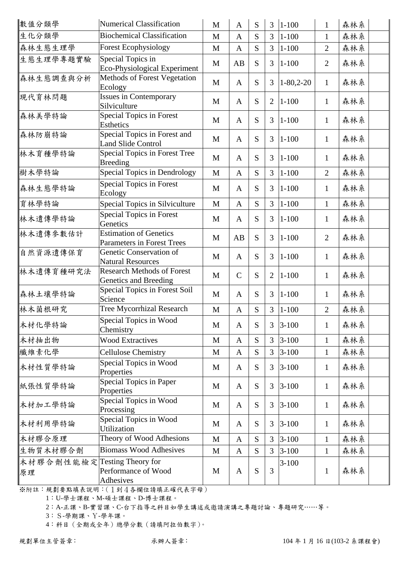| 數值分類學           | <b>Numerical Classification</b>                                    | $\mathbf{M}$ | $\mathbf{A}$  | S | $\overline{3}$ | $ 1 - 100$  | $\mathbf{1}$   | 森林系 |
|-----------------|--------------------------------------------------------------------|--------------|---------------|---|----------------|-------------|----------------|-----|
| 生化分類學           | <b>Biochemical Classification</b>                                  | M            | $\mathbf{A}$  | S | $\overline{3}$ | $1 - 100$   | $\mathbf{1}$   | 森林系 |
| 森林生態生理學         | <b>Forest Ecophysiology</b>                                        | M            | $\mathbf{A}$  | S | $\overline{3}$ | $1 - 100$   | $\overline{2}$ | 森林系 |
| 生態生理學專題實驗       | Special Topics in<br>Eco-Physiological Experiment                  | M            | AB            | S | 3              | $1 - 100$   | $\overline{2}$ | 森林系 |
| 森林生態調查與分析       | Methods of Forest Vegetation<br>Ecology                            | M            | $\mathbf{A}$  | S | 3              | $1-80,2-20$ | $\mathbf{1}$   | 森林系 |
| 現代育林問題          | <b>Issues in Contemporary</b><br>Silviculture                      | M            | $\mathbf{A}$  | S | $\overline{2}$ | $1 - 100$   | $\mathbf{1}$   | 森林系 |
| 森林美學特論          | <b>Special Topics in Forest</b><br><b>Esthetics</b>                | M            | $\mathbf{A}$  | S | 3              | $1 - 100$   | $\mathbf{1}$   | 森林系 |
| 森林防崩特論          | Special Topics in Forest and<br><b>Land Slide Control</b>          | M            | $\mathbf{A}$  | S | 3              | $1 - 100$   | $\mathbf{1}$   | 森林系 |
| 林木育種學特論         | Special Topics in Forest Tree<br><b>Breeding</b>                   | M            | $\mathbf{A}$  | S | 3              | $1 - 100$   | 1              | 森林系 |
| 樹木學特論           | Special Topics in Dendrology                                       | M            | $\mathbf{A}$  | S | $\overline{3}$ | $1 - 100$   | $\overline{2}$ | 森林系 |
| 森林生態學特論         | <b>Special Topics in Forest</b><br>Ecology                         | M            | $\mathbf{A}$  | S | 3              | $1 - 100$   | $\mathbf{1}$   | 森林系 |
| 育林學特論           | Special Topics in Silviculture                                     | $\mathbf M$  | $\mathbf{A}$  | S | $\overline{3}$ | $1 - 100$   | $\mathbf{1}$   | 森林系 |
| 林木遺傳學特論         | <b>Special Topics in Forest</b><br>Genetics                        | M            | $\mathbf{A}$  | S | 3              | $1 - 100$   | $\mathbf{1}$   | 森林系 |
| 林木遺傳參數估計        | <b>Estimation of Genetics</b><br><b>Parameters in Forest Trees</b> | M            | AB            | S | 3              | $1 - 100$   | $\overline{2}$ | 森林系 |
| 自然資源遺傳保育        | Genetic Conservation of<br><b>Natural Resources</b>                | M            | $\mathbf{A}$  | S | 3              | $1 - 100$   | $\mathbf{1}$   | 森林系 |
| 林木遺傳育種研究法       | <b>Research Methods of Forest</b><br>Genetics and Breeding         | M            | $\mathcal{C}$ | S | $\overline{2}$ | $1 - 100$   | $\mathbf{1}$   | 森林系 |
| 森林土壤學特論         | Special Topics in Forest Soil<br>Science                           | M            | $\mathbf{A}$  | S | $\overline{3}$ | $1 - 100$   | $\mathbf{1}$   | 森林系 |
| 林木菌根研究          | Tree Mycorrhizal Research                                          | M            | $\mathbf{A}$  | S | 3              | $1 - 100$   | $\overline{2}$ | 森林系 |
| 木材化學特論          | Special Topics in Wood<br>Chemistry                                | M            | $\mathbf{A}$  | S | 3              | $3 - 100$   | $\mathbf{1}$   | 森林系 |
| 木材抽出物           | <b>Wood Extractives</b>                                            | $\mathbf M$  | $\mathbf{A}$  | S | $\overline{3}$ | $3 - 100$   | $\mathbf{1}$   | 森林系 |
| 纖維素化學           | <b>Cellulose Chemistry</b>                                         | M            | $\mathbf{A}$  | S | 3              | $3 - 100$   | $\mathbf{1}$   | 森林系 |
| 木材性質學特論         | Special Topics in Wood<br>Properties                               | M            | $\mathbf{A}$  | S | 3              | $3 - 100$   | $\mathbf{1}$   | 森林系 |
| 紙張性質學特論         | Special Topics in Paper<br>Properties                              | M            | $\mathbf{A}$  | S | 3              | $3 - 100$   | $\mathbf{1}$   | 森林系 |
| 木材加工學特論         | Special Topics in Wood<br>Processing                               | M            | $\mathbf{A}$  | S | 3              | $3 - 100$   | $\mathbf{1}$   | 森林系 |
| 木材利用學特論         | Special Topics in Wood<br>Utilization                              | M            | $\mathbf{A}$  | S | 3              | $3 - 100$   | $\mathbf{1}$   | 森林系 |
| 木材膠合原理          | Theory of Wood Adhesions                                           | $\mathbf M$  | $\mathbf{A}$  | S | $\overline{3}$ | $3 - 100$   | $\mathbf{1}$   | 森林系 |
| 生物質木材膠合劑        | <b>Biomass Wood Adhesives</b>                                      | M            | $\mathbf{A}$  | S | $\overline{3}$ | $3 - 100$   | $\mathbf{1}$   | 森林系 |
| 木材膠合劑性能檢定<br>原理 | <b>Testing Theory for</b><br>Performance of Wood<br>Adhesives      | M            | $\mathbf{A}$  | S | 3              | $3 - 100$   | $\mathbf{1}$   | 森林系 |

1:U-學士課程、M-碩士課程、D-博士課程。

2:A-正課、B-實習課、C-台下指導之科目如學生講述或邀請演講之專題討論、專題研究……等。

3:S-學期課、Y-學年課。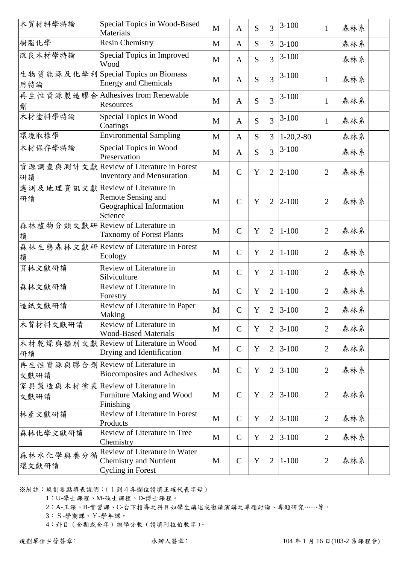| 木質材料學特論                                   | Special Topics in Wood-Based<br>Materials                                                  | $\mathbf{M}$ | $\mathbf{A}$  | S           | 3              | $3 - 100$   | $\mathbf{1}$   | 森林系 |  |
|-------------------------------------------|--------------------------------------------------------------------------------------------|--------------|---------------|-------------|----------------|-------------|----------------|-----|--|
| 樹脂化學                                      | Resin Chemistry                                                                            | $\mathbf{M}$ | $\mathbf{A}$  | S           | 3              | $3 - 100$   |                | 森林系 |  |
| 改良木材學特論                                   | Special Topics in Improved<br>Wood                                                         | M            | $\mathbf{A}$  | S           | 3              | $3-100$     |                | 森林系 |  |
| 用特論                                       | 生物質能源及化學利Special Topics on Biomass<br><b>Energy and Chemicals</b>                          | M            | $\mathbf{A}$  | S           | 3              | $3-100$     | $\mathbf{1}$   | 森林系 |  |
| 劑                                         | 再生性資源製造膠合 Adhesives from Renewable<br>Resources                                            | M            | $\mathbf{A}$  | S           | $\overline{3}$ | $3 - 100$   | $\mathbf{1}$   | 森林系 |  |
| 木材塗料學特論                                   | Special Topics in Wood<br>Coatings                                                         | M            | $\mathbf{A}$  | S           | $\overline{3}$ | $3 - 100$   | $\mathbf{1}$   | 森林系 |  |
| 環境取樣學                                     | <b>Environmental Sampling</b>                                                              | M            | $\mathbf{A}$  | S           | $\overline{3}$ | $1-20,2-80$ |                | 森林系 |  |
| 木材保存學特論                                   | Special Topics in Wood<br>Preservation                                                     | M            | $\mathbf{A}$  | S           | 3              | $3 - 100$   |                | 森林系 |  |
| 研讀                                        | 資源調查與測計文獻 Review of Literature in Forest<br><b>Inventory and Mensuration</b>               | M            | $\mathcal{C}$ | Y           | $\overline{2}$ | $2 - 100$   | $\overline{2}$ | 森林系 |  |
| 遙測及地理資訊文獻 Review of Literature in<br>研讀   | Remote Sensing and<br>Geographical Information<br>Science                                  | $\mathbf{M}$ | $\mathcal{C}$ | Y           | $\overline{2}$ | $2 - 100$   | $\overline{2}$ | 森林系 |  |
| 森林植物分類文獻研 Review of Literature in<br>讀    | <b>Taxnomy of Forest Plants</b>                                                            | M            | $\mathcal{C}$ | Y           | $\overline{2}$ | $1 - 100$   | $\overline{2}$ | 森林系 |  |
| 讀                                         | 森林生態森林文獻研Review of Literature in Forest<br>Ecology                                         | M            | $\mathcal{C}$ | Y           | $\overline{2}$ | $1 - 100$   | $\overline{2}$ | 森林系 |  |
| 育林文獻研讀                                    | Review of Literature in<br>Silviculture                                                    | M            | $\mathcal{C}$ | Y           | $\overline{2}$ | $1 - 100$   | $\overline{2}$ | 森林系 |  |
| 森林文獻研讀                                    | Review of Literature in<br>Forestry                                                        | M            | $\mathcal{C}$ | Y           | $\overline{2}$ | $1 - 100$   | $\overline{2}$ | 森林系 |  |
| 造紙文獻研讀                                    | Review of Literature in Paper<br>Making                                                    | M            | $\mathcal{C}$ | Y           | $\overline{2}$ | $3 - 100$   | $\overline{2}$ | 森林系 |  |
| 木質材料文獻研讀                                  | Review of Literature in<br><b>Wood-Based Materials</b>                                     | M            | $\mathcal{C}$ | $\mathbf Y$ | $\overline{2}$ | $3 - 100$   | $\overline{2}$ | 森林系 |  |
| 研讀                                        | 木材乾燥與鑑別文獻 Review of Literature in Wood<br>Drying and Identification                        | M            | $\mathcal{C}$ | Y           | $\overline{2}$ | $3 - 100$   | $\overline{2}$ | 森林系 |  |
| 再生性資源與膠合劑 Review of Literature in<br>文獻研讀 | <b>Biocomposites and Adhesives</b>                                                         | M            | $\mathcal{C}$ | $\mathbf Y$ | $\overline{2}$ | $3 - 100$   | $\overline{2}$ | 森林系 |  |
| 家具製造與木材塗裝 Review of Literature in<br>文獻研讀 | Furniture Making and Wood<br>Finishing                                                     | M            | $\mathcal{C}$ | $\mathbf Y$ | $\overline{2}$ | $3 - 100$   | $\overline{2}$ | 森林系 |  |
| 林產文獻研讀                                    | Review of Literature in Forest<br>Products                                                 | $\mathbf{M}$ | $\mathcal{C}$ | Y           | $\overline{2}$ | $3 - 100$   | $\overline{2}$ | 森林系 |  |
| 森林化學文獻研讀                                  | Review of Literature in Tree<br>Chemistry                                                  | M            | $\mathcal{C}$ | Y           | 2              | $3 - 100$   | $\overline{2}$ | 森林系 |  |
| 森林水化學與養分循<br>環文獻研讀                        | Review of Literature in Water<br><b>Chemistry and Nutrient</b><br><b>Cycling in Forest</b> | M            | $\mathbf C$   | $\mathbf Y$ | $\overline{2}$ | $1 - 100$   | $\overline{2}$ | 森林系 |  |

1:U-學士課程、M-碩士課程、D-博士課程。

2:A-正課、B-實習課、C-台下指導之科目如學生講述或邀請演講之專題討論、專題研究……等。

3:S-學期課、Y-學年課。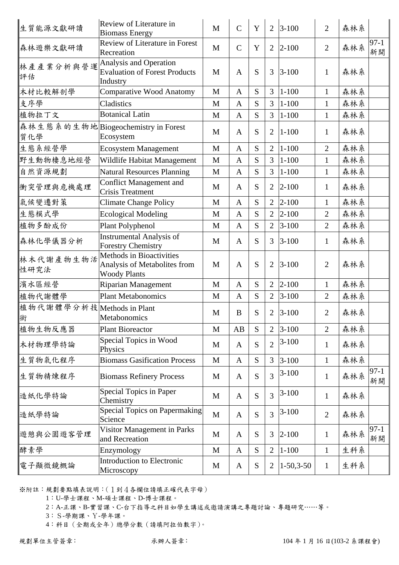| 生質能源文獻研讀                        | Review of Literature in<br><b>Biomass Energy</b>                                | $\mathbf{M}$ | $\mathcal{C}$ | Y         | $\overline{2}$ | $3 - 100$   | $\overline{2}$ | 森林系 |              |
|---------------------------------|---------------------------------------------------------------------------------|--------------|---------------|-----------|----------------|-------------|----------------|-----|--------------|
| 森林遊樂文獻研讀                        | <b>Review of Literature in Forest</b><br>Recreation                             | $\mathbf{M}$ | $\mathcal{C}$ | Y         | $\overline{2}$ | $ 2 - 100$  | $\overline{2}$ | 森林系 | $97-1$<br>新開 |
| 林產產業分析與營運<br>評估                 | Analysis and Operation<br><b>Evaluation of Forest Products</b><br>Industry      | M            | $\mathbf{A}$  | S         | 3              | $3 - 100$   | $\mathbf{1}$   | 森林系 |              |
| 木材比較解剖學                         | <b>Comparative Wood Anatomy</b>                                                 | $\mathbf{M}$ | $\mathbf{A}$  | S         | 3              | $1 - 100$   | $\mathbf{1}$   | 森林系 |              |
| 支序學                             | Cladistics                                                                      | M            | $\mathbf{A}$  | S         | $\overline{3}$ | $1 - 100$   | $\mathbf{1}$   | 森林系 |              |
| 植物拉丁文                           | <b>Botanical Latin</b>                                                          | M            | $\mathbf{A}$  | S         | $\overline{3}$ | $1 - 100$   | $\mathbf{1}$   | 森林系 |              |
| 質化學                             | 森林生態系的生物地 Biogeochemistry in Forest<br>Ecosystem                                | M            | $\mathbf{A}$  | S         | $\overline{2}$ | $1 - 100$   | $\mathbf{1}$   | 森林系 |              |
| 生態系經營學                          | <b>Ecosystem Management</b>                                                     | M            | $\mathbf{A}$  | S         | $\overline{2}$ | $1 - 100$   | $\overline{2}$ | 森林系 |              |
| 野生動物棲息地經營                       | Wildlife Habitat Management                                                     | M            | $\mathbf{A}$  | S         | $\overline{3}$ | $1 - 100$   | $\mathbf{1}$   | 森林系 |              |
| 自然資源規劃                          | <b>Natural Resources Planning</b>                                               | M            | $\mathbf{A}$  | S         | $\overline{3}$ | $1 - 100$   | $\mathbf{1}$   | 森林系 |              |
| 衝突管理與危機處理                       | <b>Conflict Management and</b><br><b>Crisis Treatment</b>                       | M            | $\mathbf{A}$  | S         | $\overline{2}$ | $ 2 - 100$  | $\mathbf{1}$   | 森林系 |              |
| 氣候變遷對策                          | <b>Climate Change Policy</b>                                                    | $\mathbf M$  | $\mathbf{A}$  | S         | $\overline{2}$ | $2 - 100$   | $\mathbf{1}$   | 森林系 |              |
| 生態模式學                           | <b>Ecological Modeling</b>                                                      | M            | $\mathbf{A}$  | S         | $\overline{2}$ | $2 - 100$   | $\overline{2}$ | 森林系 |              |
| 植物多酚成份                          | Plant Polyphenol                                                                | M            | $\mathbf{A}$  | S         | $\overline{2}$ | $3 - 100$   | $\overline{2}$ | 森林系 |              |
| 森林化學儀器分析                        | <b>Instrumental Analysis of</b><br><b>Forestry Chemistry</b>                    | M            | $\mathbf{A}$  | S         | 3              | $3 - 100$   | $\mathbf{1}$   | 森林系 |              |
| 林木代謝產物生物活<br>性研究法               | Methods in Bioactivities<br>Analysis of Metabolites from<br><b>Woody Plants</b> | M            | $\mathbf{A}$  | S         | $\overline{2}$ | $3 - 100$   | $\overline{2}$ | 森林系 |              |
| 濱水區經營                           | <b>Riparian Management</b>                                                      | M            | $\mathbf{A}$  | ${\bf S}$ | $\overline{2}$ | $2 - 100$   | $\mathbf{1}$   | 森林系 |              |
| 植物代謝體學                          | <b>Plant Metabonomics</b>                                                       | M            | $\mathbf{A}$  | S         | $\overline{2}$ | $3 - 100$   | $\overline{2}$ | 森林系 |              |
| 植物代謝體學分析技 Methods in Plant<br>術 | <b>Metabonomics</b>                                                             | M            | $\bf{B}$      | ${\bf S}$ | $\overline{2}$ | $3 - 100$   | $\overline{2}$ | 森林系 |              |
| 植物生物反應器                         | <b>Plant Bioreactor</b>                                                         | M            | AB            | S         | $\overline{2}$ | $3 - 100$   | $\overline{2}$ | 森林系 |              |
| 木材物理學特論                         | Special Topics in Wood<br>Physics                                               | M            | $\mathbf{A}$  | S         | $\overline{2}$ | $3-100$     | $\mathbf{1}$   | 森林系 |              |
| 生質物氣化程序                         | <b>Biomass Gasification Process</b>                                             | $\mathbf M$  | $\mathbf{A}$  | S         | $\overline{3}$ | $3 - 100$   | $\mathbf{1}$   | 森林系 |              |
| 生質物精煉程序                         | <b>Biomass Refinery Process</b>                                                 | M            | $\mathbf{A}$  | S         | 3              | $3-100$     | $\mathbf{1}$   | 森林系 | $97-1$<br>新開 |
| 造紙化學特論                          | <b>Special Topics in Paper</b><br>Chemistry                                     | M            | $\mathbf{A}$  | S         | 3              | $3-100$     | $\mathbf{1}$   | 森林系 |              |
| 造紙學特論                           | <b>Special Topics on Papermaking</b><br>Science                                 | $\mathbf{M}$ | $\mathbf{A}$  | S         | 3              | $3-100$     | $\overline{2}$ | 森林系 |              |
| 遊憩與公園遊客管理                       | Visitor Management in Parks<br>and Recreation                                   | M            | $\mathbf{A}$  | ${\bf S}$ | 3              | $2 - 100$   | $\mathbf 1$    | 森林系 | $97-1$<br>新開 |
| 酵素學                             | Enzymology                                                                      | M            | $\mathbf{A}$  | S         | 2              | $1 - 100$   | $\mathbf{1}$   | 生科系 |              |
| 電子顯微鏡概論                         | <b>Introduction to Electronic</b><br>Microscopy                                 | M            | $\mathbf{A}$  | ${\bf S}$ | 2              | $1-50,3-50$ | $\mathbf{1}$   | 生科系 |              |

1:U-學士課程、M-碩士課程、D-博士課程。

2:A-正課、B-實習課、C-台下指導之科目如學生講述或邀請演講之專題討論、專題研究……等。

3:S-學期課、Y-學年課。